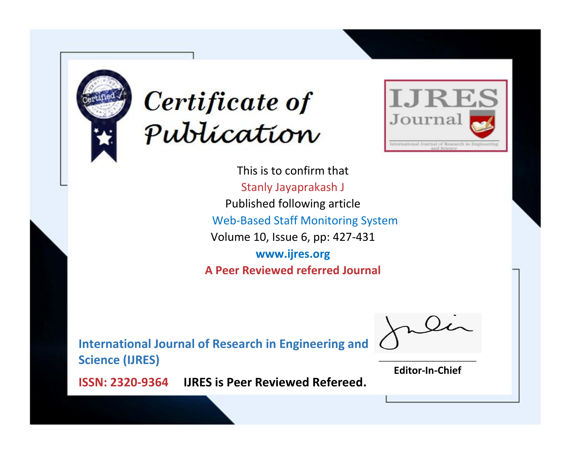



This is to confirm that Stanly Jayaprakash J Published following article Web-Based Staff Monitoring System Volume 10, Issue 6, pp: 427-431 **www.ijres.org A Peer Reviewed referred Journal**

**International Journal of Research in Engineering and Science (IJRES)**

\_\_\_\_\_\_\_\_\_\_\_\_\_\_\_\_\_\_\_\_\_\_\_\_ **Editor-In-Chief**

**Journal.**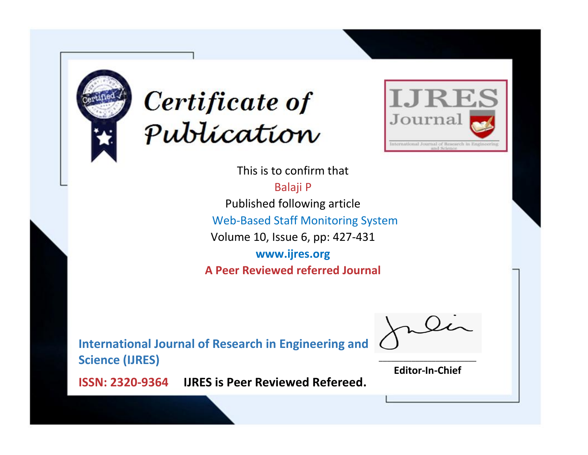



This is to confirm that Balaji P Published following article Web-Based Staff Monitoring System Volume 10, Issue 6, pp: 427-431 **www.ijres.org A Peer Reviewed referred Journal**

**International Journal of Research in Engineering and Science (IJRES)**

\_\_\_\_\_\_\_\_\_\_\_\_\_\_\_\_\_\_\_\_\_\_\_\_ **Editor-In-Chief**

**Journal.**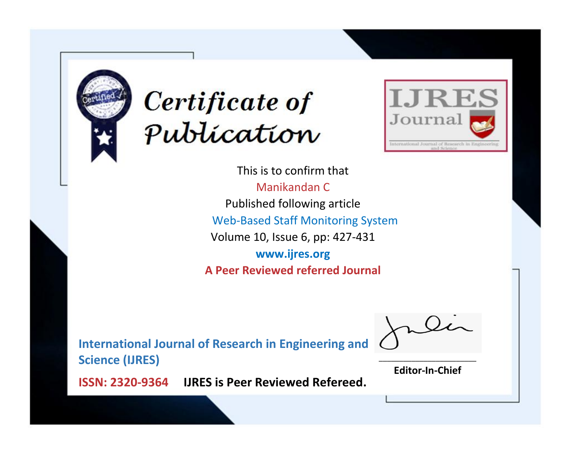



This is to confirm that Manikandan C Published following article Web-Based Staff Monitoring System Volume 10, Issue 6, pp: 427-431 **www.ijres.org A Peer Reviewed referred Journal**

**International Journal of Research in Engineering and Science (IJRES)**

\_\_\_\_\_\_\_\_\_\_\_\_\_\_\_\_\_\_\_\_\_\_\_\_ **Editor-In-Chief**

**Journal.**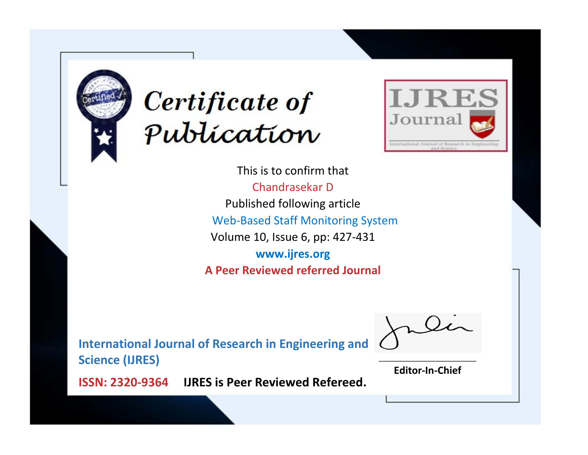



This is to confirm that Chandrasekar D Published following article Web-Based Staff Monitoring System Volume 10, Issue 6, pp: 427-431 **www.ijres.org A Peer Reviewed referred Journal**

**International Journal of Research in Engineering and Science (IJRES)**

\_\_\_\_\_\_\_\_\_\_\_\_\_\_\_\_\_\_\_\_\_\_\_\_ **Editor-In-Chief**

**Journal.**